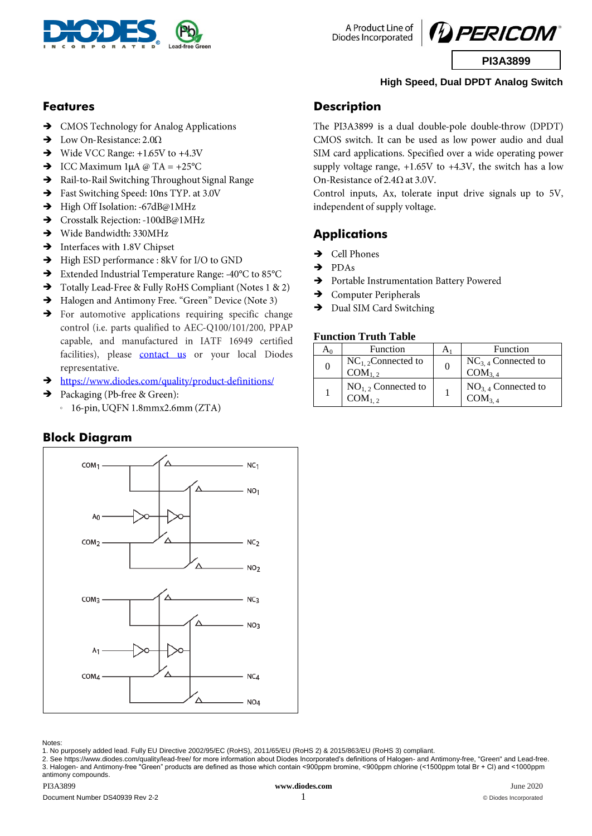

A Product Line of Diodes Incorporated



# **High Speed, Dual DPDT Analog Switch**

#### **Features**

- > CMOS Technology for Analog Applications
- $\rightarrow$ Low On-Resistance:  $2.0\Omega$
- → Wide VCC Range:  $+1.65V$  to  $+4.3V$
- $\rightarrow$  ICC Maximum 1µA @ TA = +25°C
- $\rightarrow$ Rail-to-Rail Switching Throughout Signal Range
- $\rightarrow$ Fast Switching Speed: 10ns TYP. at 3.0V
- $\rightarrow$ High Off Isolation: -67dB@1MHz
- $\rightarrow$ Crosstalk Rejection: -100dB@1MHz
- Wide Bandwidth: 330MHz
- $\rightarrow$  Interfaces with 1.8V Chipset
- High ESD performance : 8kV for I/O to GND
- Extended Industrial Temperature Range: -40°C to 85°C  $\rightarrow$
- Totally Lead-Free & Fully RoHS Compliant (Notes 1 & 2)
- Halogen and Antimony Free. "Green" Device (Note 3)
- > For automotive applications requiring specific change control (i.e. parts qualified to AEC-Q100/101/200, PPAP capable, and manufactured in IATF 16949 certified facilities), please contact us or your local Diodes representative.
- https://www.diodes.com/quality/product-definitions/  $\rightarrow$
- Packaging (Pb-free & Green):  $\rightarrow$ 
	- $\cdot$  16-pin, UQFN 1.8mmx2.6mm (ZTA)

#### **Block Diagram**



Notes:

1. No purposely added lead. Fully EU Directive 2002/95/EC (RoHS), 2011/65/EU (RoHS 2) & 2015/863/EU (RoHS 3) compliant.

2. See<https://www.diodes.com/quality/lead-free/> for more information about Diodes Incorporated's definitions of Halogen- and Antimony-free, "Green" and Lead-free. 3. Halogen- and Antimony-free "Green" products are defined as those which contain <900ppm bromine, <900ppm chlorine (<1500ppm total Br + Cl) and <1000ppm antimony compounds.

#### **Description**

The PI3A3899 is a dual double-pole double-throw (DPDT) CMOS switch. It can be used as low power audio and dual SIM card applications. Specified over a wide operating power supply voltage range,  $+1.65V$  to  $+4.3V$ , the switch has a low On-Resistance of 2.4 $\Omega$  at 3.0V.

Control inputs, Ax, tolerate input drive signals up to 5V, independent of supply voltage.

## **Applications**

- $\rightarrow$ Cell Phones
- PDAs  $\rightarrow$
- $\rightarrow$ Portable Instrumentation Battery Powered
- $\rightarrow$ Computer Peripherals
- $\rightarrow$ Dual SIM Card Switching

#### **Function Truth Table**

| Aρ | Function                                      | A <sub>1</sub> | Function                                      |
|----|-----------------------------------------------|----------------|-----------------------------------------------|
| 0  | $NC_{1,2}$ Connected to<br>COM <sub>1.2</sub> | 0              | $NC_{3,4}$ Connected to<br>COM <sub>3.4</sub> |
|    | $NO_{1,2}$ Connected to<br>$COM_{1,2}$        |                | $NO_{3,4}$ Connected to<br>COM <sub>3.4</sub> |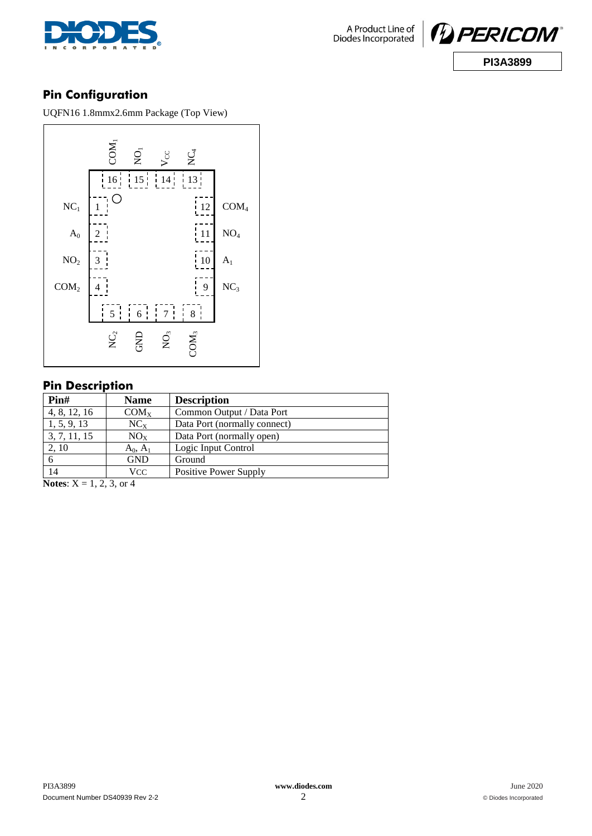



# **Pin Configuration**

UQFN16 1.8mmx2.6mm Package (Top View)



### **Pin Description**

| $\text{Pin}\#$ | <b>Name</b> | <b>Description</b>           |
|----------------|-------------|------------------------------|
| 4, 8, 12, 16   | $COM_{X}$   | Common Output / Data Port    |
| 1, 5, 9, 13    | $NC_{X}$    | Data Port (normally connect) |
| 3, 7, 11, 15   | $NO_{X}$    | Data Port (normally open)    |
| 2, 10          | $A_0, A_1$  | Logic Input Control          |
| 6              | <b>GND</b>  | Ground                       |
| 14             | VCC         | Positive Power Supply        |

**Notes:**  $X = 1, 2, 3,$  or 4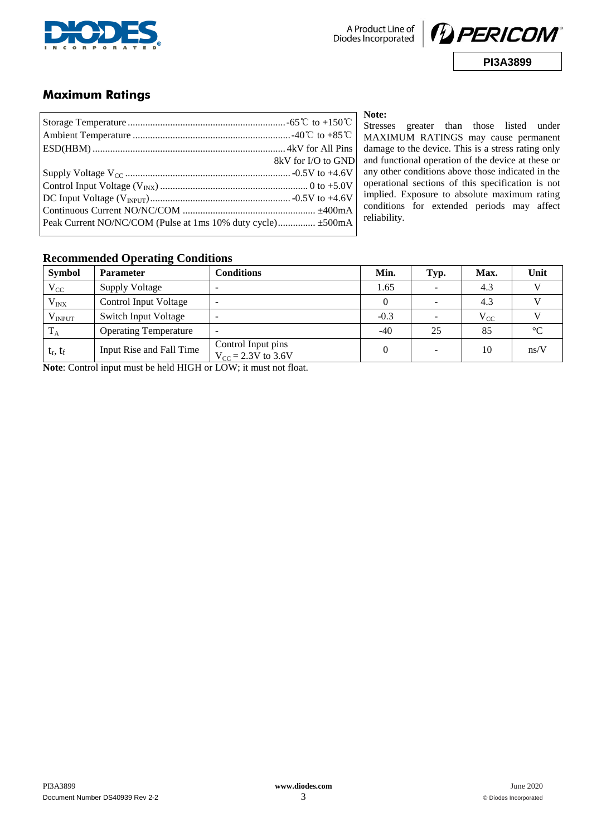



## **Maximum Ratings**

|                                                             | 8kV for I/O to GND |  |  |
|-------------------------------------------------------------|--------------------|--|--|
|                                                             |                    |  |  |
|                                                             |                    |  |  |
|                                                             |                    |  |  |
|                                                             |                    |  |  |
| Peak Current NO/NC/COM (Pulse at 1ms 10% duty cycle) ±500mA |                    |  |  |
|                                                             |                    |  |  |

**Note:**

Stresses greater than those listed under MAXIMUM RATINGS may cause permanent damage to the device. This is a stress rating only and functional operation of the device at these or any other conditions above those indicated in the operational sections of this specification is not implied. Exposure to absolute maximum rating conditions for extended periods may affect reliability.

### **Recommended Operating Conditions**

| <b>Symbol</b>    | <b>Parameter</b>             | <b>Conditions</b>                             | Min.   | Typ.                     | Max.     | Unit        |
|------------------|------------------------------|-----------------------------------------------|--------|--------------------------|----------|-------------|
| $V_{CC}$         | <b>Supply Voltage</b>        |                                               | 1.65   | $\overline{\phantom{a}}$ | 4.3      |             |
| $V_{\text{INX}}$ | <b>Control Input Voltage</b> |                                               |        | $\overline{\phantom{a}}$ | 4.3      |             |
| $V_{INPUT}$      | <b>Switch Input Voltage</b>  |                                               | $-0.3$ | $\overline{\phantom{a}}$ | $V_{CC}$ |             |
| $T_A$            | <b>Operating Temperature</b> |                                               | $-40$  | 25                       | 85       | $^{\circ}C$ |
| $t_r, t_f$       | Input Rise and Fall Time     | Control Input pins<br>$V_{CC} = 2.3V$ to 3.6V |        | $\overline{\phantom{a}}$ | 10       | ns/V        |

**Note**: Control input must be held HIGH or LOW; it must not float.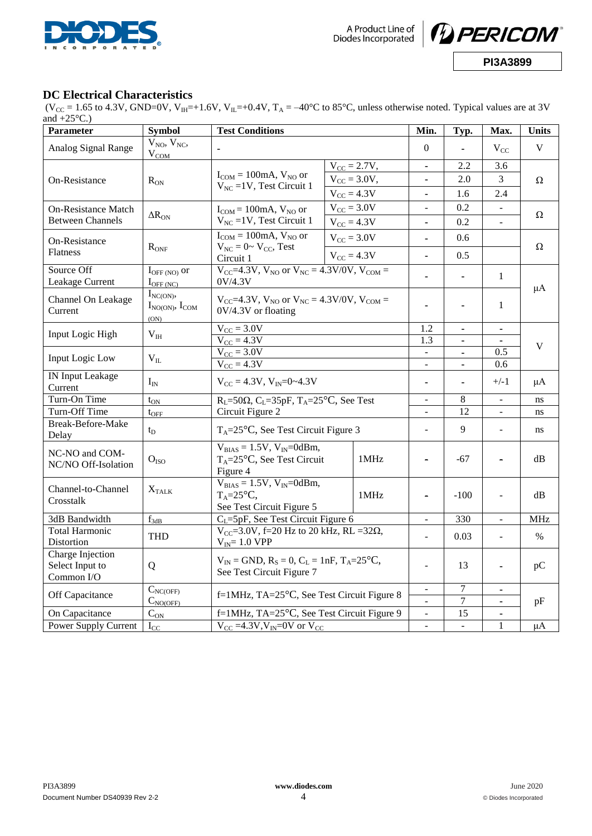



#### **DC Electrical Characteristics**

(V<sub>CC</sub> = 1.65 to 4.3V, GND=0V, V<sub>IH</sub>=+1.6V, V<sub>IL</sub>=+0.4V, T<sub>A</sub> = -40°C to 85°C, unless otherwise noted. Typical values are at 3V and  $+25^{\circ}$ C.)

| Parameter                                         | <b>Test Conditions</b><br><b>Symbol</b>           |                                                                                         | Min.             | Typ.                         | Max.                         | <b>Units</b>                 |                          |          |  |
|---------------------------------------------------|---------------------------------------------------|-----------------------------------------------------------------------------------------|------------------|------------------------------|------------------------------|------------------------------|--------------------------|----------|--|
| Analog Signal Range                               | $V_{NO}$ , $V_{NC}$ ,<br>$V_{COM}$                |                                                                                         |                  | $\Omega$                     |                              | $V_{CC}$                     | V                        |          |  |
|                                                   |                                                   |                                                                                         | $V_{CC} = 2.7V,$ |                              | $\blacksquare$               | 2.2                          | 3.6                      | $\Omega$ |  |
| On-Resistance                                     | $R_{\rm ON}$                                      | $I_{COM} = 100mA$ , $V_{NO}$ or                                                         | $V_{CC} = 3.0V,$ |                              | $\qquad \qquad \blacksquare$ | 2.0                          | 3                        |          |  |
|                                                   |                                                   | $V_{NC}$ =1V, Test Circuit 1                                                            | $V_{CC} = 4.3V$  |                              | $\blacksquare$               | 1.6                          | 2.4                      |          |  |
| <b>On-Resistance Match</b>                        |                                                   | $I_{COM} = 100mA$ , $V_{NO}$ or                                                         | $V_{CC}$ = 3.0V  |                              | ÷,                           | 0.2                          | $\overline{\phantom{a}}$ |          |  |
| <b>Between Channels</b>                           | $\Delta R_{ON}$                                   | $V_{NC}$ = 1V, Test Circuit 1                                                           | $V_{CC} = 4.3V$  |                              | ä,                           | 0.2                          | $\overline{a}$           | Ω        |  |
| On-Resistance                                     | $R_{ONF}$                                         | $I_{COM} = 100mA$ , $V_{NO}$ or                                                         | $V_{CC}$ = 3.0V  |                              |                              | 0.6                          |                          |          |  |
| Flatness                                          |                                                   | $V_{NC} = 0 \sim V_{CC}$ , Test<br>Circuit 1                                            | $V_{CC} = 4.3V$  |                              | 0.5<br>ä,                    |                              |                          | Ω        |  |
| Source Off<br>Leakage Current                     | $I_{\text{OFF (NO)}}$ or<br>$I_{\text{OFF (NC)}}$ | $V_{CC} = 4.3 V$ , $V_{NO}$ or $V_{NC} = 4.3 V/0V$ , $V_{COM} =$<br>0V/4.3V             |                  |                              | ä,                           | ÷,                           | 1                        |          |  |
| Channel On Leakage<br>Current                     | $I_{NC(ON)}$<br>$I_{NO(ON)}$ , $I_{COM}$<br>(ON)  | $V_{CC}$ =4.3V, $V_{NO}$ or $V_{NC}$ = 4.3V/0V, $V_{COM}$ =<br>0V/4.3V or floating      |                  |                              |                              |                              | 1                        | μA       |  |
| Input Logic High                                  | $V_{III}$                                         | $V_{CC}$ = 3.0V                                                                         |                  | 1.2                          | -                            | $\qquad \qquad \blacksquare$ |                          |          |  |
|                                                   |                                                   | $V_{CC} = 4.3V$                                                                         |                  |                              | 1.3                          | $\blacksquare$               |                          | V        |  |
| Input Logic Low                                   | $V_{IL}$                                          | $V_{CC} = 3.0V$                                                                         |                  |                              |                              | 0.5                          |                          |          |  |
|                                                   |                                                   | $V_{CC} = 4.3V$                                                                         |                  |                              | $\frac{1}{2}$                | $\blacksquare$               | 0.6                      |          |  |
| <b>IN Input Leakage</b><br>Current                | $I_{IN}$                                          | $V_{CC} = 4.3V$ , $V_{IN} = 0$ ~ 4.3V                                                   |                  | ÷,                           |                              | $+/-1$                       | μA                       |          |  |
| Turn-On Time                                      | $t_{ON}$                                          | $R_L$ =50 $\Omega$ , C <sub>L</sub> =35pF, T <sub>A</sub> =25 <sup>o</sup> C, See Test  |                  | $\overline{a}$               | $\overline{8}$               | $\overline{a}$               | ns                       |          |  |
| Turn-Off Time                                     | $t_{\rm OFF}$                                     | Circuit Figure 2                                                                        |                  |                              | $\blacksquare$               | 12                           | $\overline{\phantom{a}}$ | ns       |  |
| Break-Before-Make<br>Delay                        | $t_{\rm D}$                                       | $T_A = 25$ °C, See Test Circuit Figure 3                                                |                  | ÷,                           | 9                            |                              | ns                       |          |  |
| NC-NO and COM-<br>NC/NO Off-Isolation             | O <sub>ISO</sub>                                  | $V_{BIAS} = 1.5V$ , $V_{IN} = 0$ dBm,<br>$T_A = 25$ °C, See Test Circuit<br>Figure 4    |                  | 1MHz                         | ÷,                           | -67                          |                          | dB       |  |
| Channel-to-Channel<br>Crosstalk                   | $X_{\text{TALK}}$                                 | $V_{BIAS} = 1.5V, V_{IN} = 0dBm,$<br>$T_A = 25^{\circ}C$ ,<br>See Test Circuit Figure 5 |                  | 1MHz                         | L,                           | $-100$                       | $\overline{\phantom{a}}$ | dB       |  |
| 3dB Bandwidth                                     | $f_{3dB}$                                         | $C_L = 5pF$ , See Test Circuit Figure 6                                                 |                  | $\qquad \qquad \blacksquare$ | 330                          | $\frac{1}{2}$                | <b>MHz</b>               |          |  |
| <b>Total Harmonic</b><br>Distortion               | <b>THD</b>                                        | $V_{CC} = 3.0V$ , f=20 Hz to 20 kHz, RL =32 $\Omega$ ,<br>$V_{IN}$ = 1.0 VPP            |                  | $\overline{a}$               | 0.03                         | $\overline{a}$               | $\%$                     |          |  |
| Charge Injection<br>Select Input to<br>Common I/O | Q                                                 | $V_{IN}$ = GND, $R_S$ = 0, $C_L$ = 1nF, $T_A$ =25 °C,<br>See Test Circuit Figure 7      |                  | $\overline{a}$               | 13                           |                              | pC                       |          |  |
|                                                   | $C_{NC(OFF)}$                                     | f=1MHz, TA= $25^{\circ}$ C, See Test Circuit Figure 8                                   |                  | $\qquad \qquad \blacksquare$ | $\overline{7}$               | $\blacksquare$               |                          |          |  |
| Off Capacitance                                   | $C_{NO(OFF)}$                                     |                                                                                         |                  | ÷,                           | $\overline{7}$               | $\blacksquare$               | pF                       |          |  |
| On Capacitance                                    | $C_{\rm ON}$                                      | f=1MHz, TA=25 °C, See Test Circuit Figure 9                                             |                  | $\qquad \qquad -$            | 15                           |                              |                          |          |  |
| Power Supply Current                              | $I_{CC}$                                          | $V_{CC} = 4.3 V, V_{IN} = 0 V$ or $V_{CC}$                                              |                  | ÷,                           | ÷.                           | $\mathbf{1}$                 | $\mu A$                  |          |  |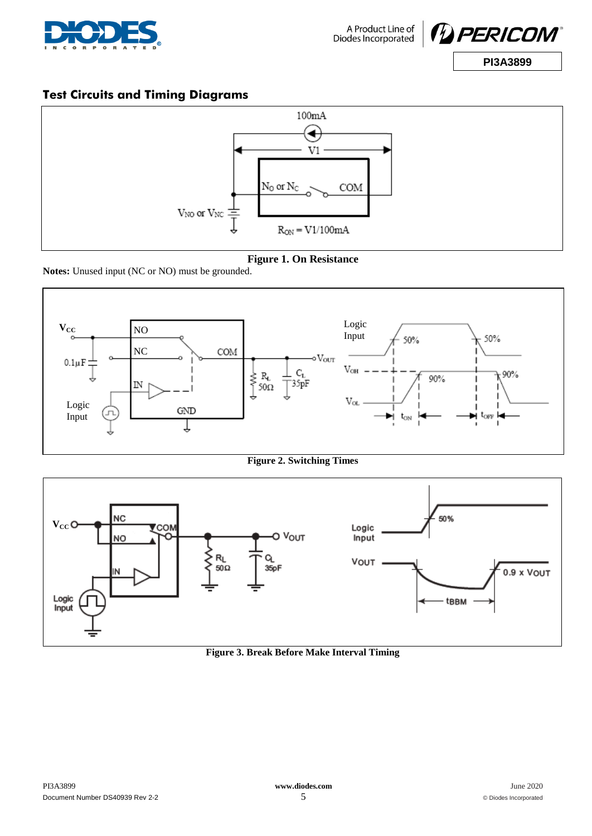



# **Test Circuits and Timing Diagrams**



**Figure 1. On Resistance**

**Notes:** Unused input (NC or NO) must be grounded.



**Figure 2. Switching Times**



**Figure 3. Break Before Make Interval Timing**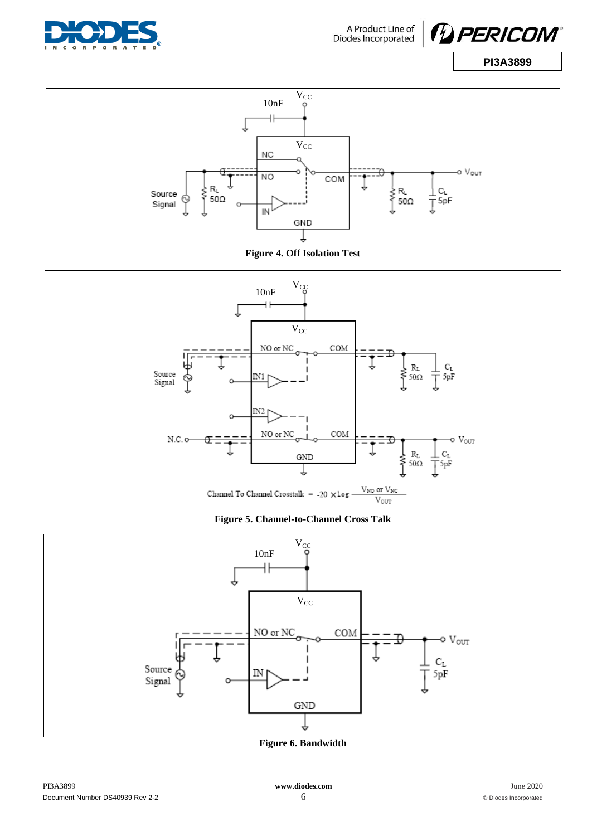













**Figure 6. Bandwidth**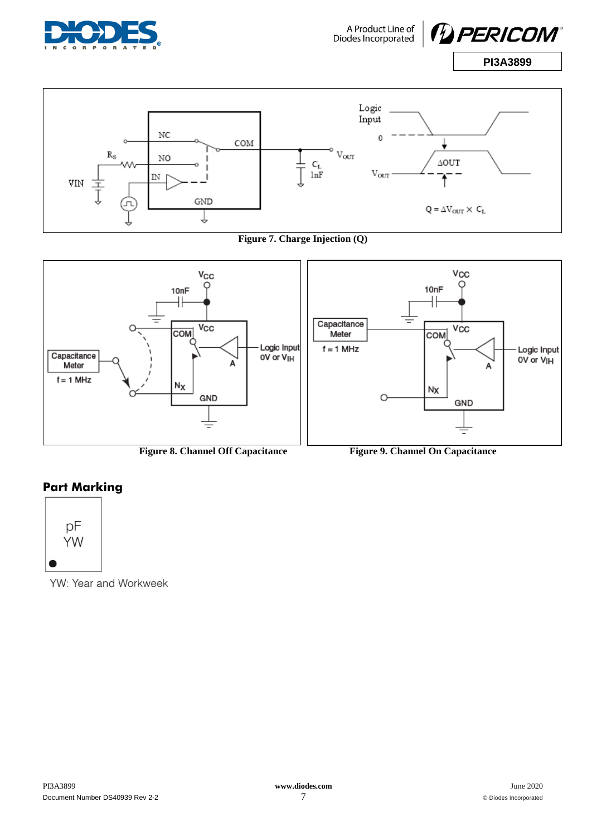

A Product Line of<br>Diodes Incorporated





**Figure 7. Charge Injection (Q)**



**Figure 8. Channel Off Capacitance Figure 9. Channel On Capacitance**

# **Part Marking**



YW: Year and Workweek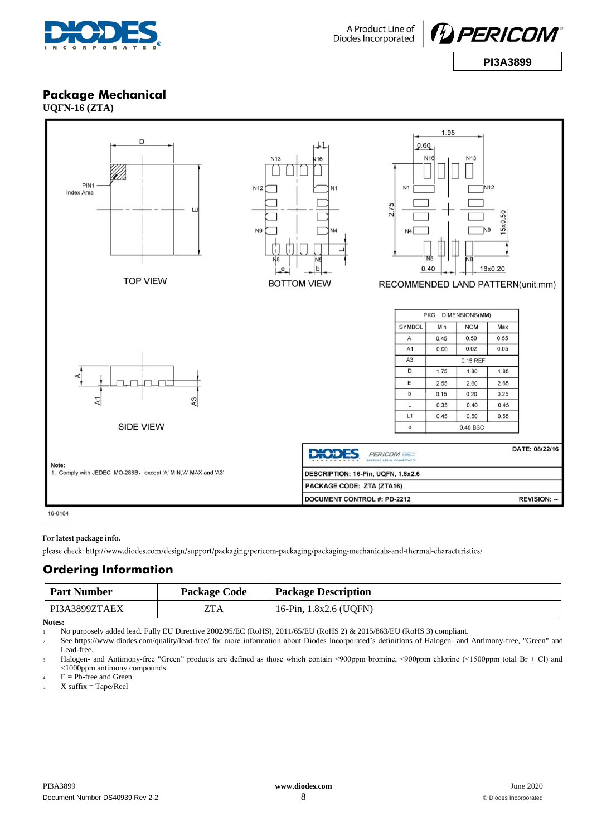



### **Package Mechanical**

**UQFN-16 (ZTA)**



#### For latest package info.

please check: http://www.diodes.com/design/support/packaging/pericom-packaging/packaging-mechanicals-and-thermal-characteristics/

## **Ordering Information**

| <b>Part Number</b> | <b>Package Code</b> | <b>Package Description</b> |
|--------------------|---------------------|----------------------------|
| PI3A3899ZTAEX      | ZTA                 | 16-Pin, 1.8x2.6 (UQFN)     |

**Notes:**

1. No purposely added lead. Fully EU Directive 2002/95/EC (RoHS), 2011/65/EU (RoHS 2) & 2015/863/EU (RoHS 3) compliant.

2. See<https://www.diodes.com/quality/lead-free/> for more information about Diodes Incorporated's definitions of Halogen- and Antimony-free, "Green" and Lead-free.

3. Halogen- and Antimony-free "Green" products are defined as those which contain <900ppm bromine, <900ppm chlorine (<1500ppm total Br + Cl) and <1000ppm antimony compounds.

4.  $E = Pb$ -free and Green

 $5.$  X suffix = Tape/Reel